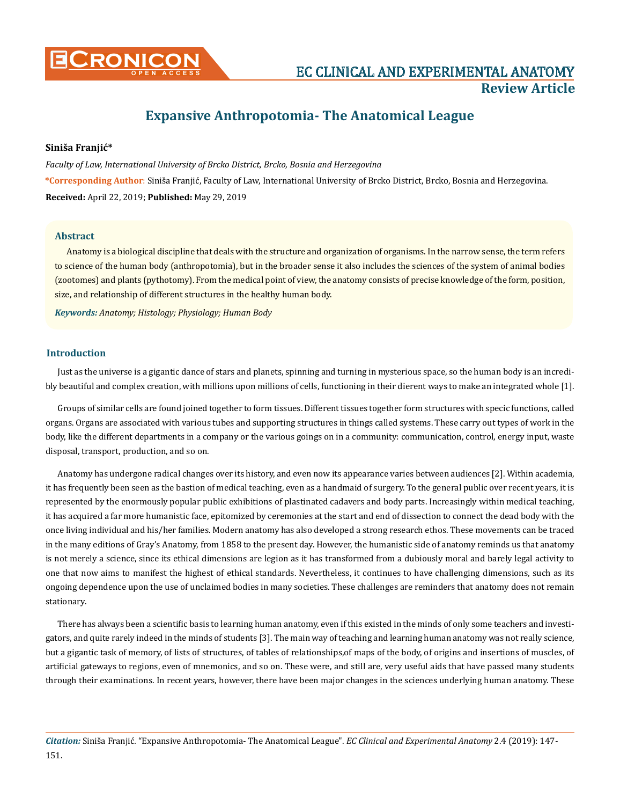

**CRONICON EC CLINICAL AND EXPERIMENTAL ANATOMY Review Article**

# **Expansive Anthropotomia- The Anatomical League**

# **Siniša Franjić\***

*Faculty of Law, International University of Brcko District, Brcko, Bosnia and Herzegovina*

**\*Corresponding Author**: Siniša Franjić, Faculty of Law, International University of Brcko District, Brcko, Bosnia and Herzegovina. **Received:** April 22, 2019; **Published:** May 29, 2019

## **Abstract**

Anatomy is a biological discipline that deals with the structure and organization of organisms. In the narrow sense, the term refers to science of the human body (anthropotomia), but in the broader sense it also includes the sciences of the system of animal bodies (zootomes) and plants (pythotomy). From the medical point of view, the anatomy consists of precise knowledge of the form, position, size, and relationship of different structures in the healthy human body.

*Keywords: Anatomy; Histology; Physiology; Human Body*

## **Introduction**

Just as the universe is a gigantic dance of stars and planets, spinning and turning in mysterious space, so the human body is an incredibly beautiful and complex creation, with millions upon millions of cells, functioning in their dierent ways to make an integrated whole [1].

Groups of similar cells are found joined together to form tissues. Different tissues together form structures with specic functions, called organs. Organs are associated with various tubes and supporting structures in things called systems. These carry out types of work in the body, like the different departments in a company or the various goings on in a community: communication, control, energy input, waste disposal, transport, production, and so on.

Anatomy has undergone radical changes over its history, and even now its appearance varies between audiences [2]. Within academia, it has frequently been seen as the bastion of medical teaching, even as a handmaid of surgery. To the general public over recent years, it is represented by the enormously popular public exhibitions of plastinated cadavers and body parts. Increasingly within medical teaching, it has acquired a far more humanistic face, epitomized by ceremonies at the start and end of dissection to connect the dead body with the once living individual and his/her families. Modern anatomy has also developed a strong research ethos. These movements can be traced in the many editions of Gray's Anatomy, from 1858 to the present day. However, the humanistic side of anatomy reminds us that anatomy is not merely a science, since its ethical dimensions are legion as it has transformed from a dubiously moral and barely legal activity to one that now aims to manifest the highest of ethical standards. Nevertheless, it continues to have challenging dimensions, such as its ongoing dependence upon the use of unclaimed bodies in many societies. These challenges are reminders that anatomy does not remain stationary.

There has always been a scientific basis to learning human anatomy, even if this existed in the minds of only some teachers and investigators, and quite rarely indeed in the minds of students [3]. The main way of teaching and learning human anatomy was not really science, but a gigantic task of memory, of lists of structures, of tables of relationships,of maps of the body, of origins and insertions of muscles, of artificial gateways to regions, even of mnemonics, and so on. These were, and still are, very useful aids that have passed many students through their examinations. In recent years, however, there have been major changes in the sciences underlying human anatomy. These

*Citation:* Siniša Franjić*.* "Expansive Anthropotomia- The Anatomical League". *EC Clinical and Experimental Anatomy* 2.4 (2019): 147- 151.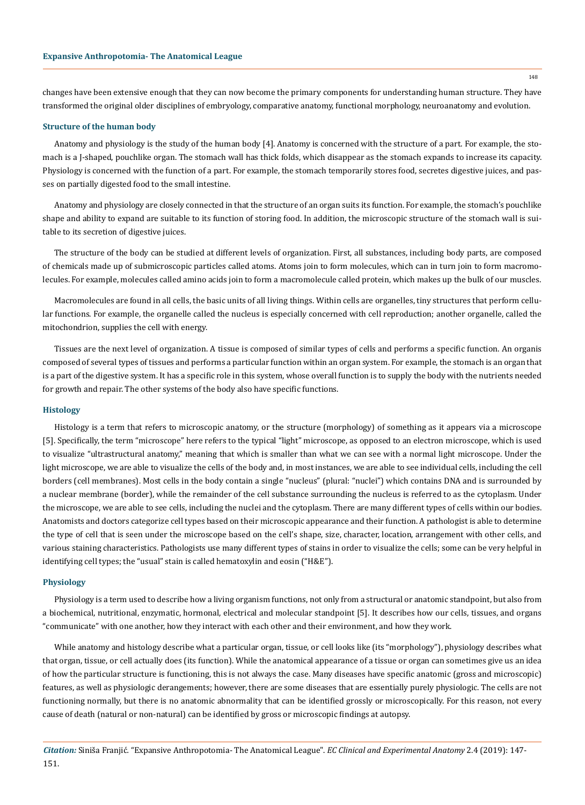changes have been extensive enough that they can now become the primary components for understanding human structure. They have transformed the original older disciplines of embryology, comparative anatomy, functional morphology, neuroanatomy and evolution.

#### **Structure of the human body**

Anatomy and physiology is the study of the human body [4]. Anatomy is concerned with the structure of a part. For example, the stomach is a J-shaped, pouchlike organ. The stomach wall has thick folds, which disappear as the stomach expands to increase its capacity. Physiology is concerned with the function of a part. For example, the stomach temporarily stores food, secretes digestive juices, and passes on partially digested food to the small intestine.

Anatomy and physiology are closely connected in that the structure of an organ suits its function. For example, the stomach's pouchlike shape and ability to expand are suitable to its function of storing food. In addition, the microscopic structure of the stomach wall is suitable to its secretion of digestive juices.

The structure of the body can be studied at different levels of organization. First, all substances, including body parts, are composed of chemicals made up of submicroscopic particles called atoms. Atoms join to form molecules, which can in turn join to form macromolecules. For example, molecules called amino acids join to form a macromolecule called protein, which makes up the bulk of our muscles.

Macromolecules are found in all cells, the basic units of all living things. Within cells are organelles, tiny structures that perform cellular functions. For example, the organelle called the nucleus is especially concerned with cell reproduction; another organelle, called the mitochondrion, supplies the cell with energy.

Tissues are the next level of organization. A tissue is composed of similar types of cells and performs a specific function. An organis composed of several types of tissues and performs a particular function within an organ system. For example, the stomach is an organ that is a part of the digestive system. It has a specific role in this system, whose overall function is to supply the body with the nutrients needed for growth and repair. The other systems of the body also have specific functions.

#### **Histology**

Histology is a term that refers to microscopic anatomy, or the structure (morphology) of something as it appears via a microscope [5]. Specifically, the term "microscope" here refers to the typical "light" microscope, as opposed to an electron microscope, which is used to visualize "ultrastructural anatomy," meaning that which is smaller than what we can see with a normal light microscope. Under the light microscope, we are able to visualize the cells of the body and, in most instances, we are able to see individual cells, including the cell borders (cell membranes). Most cells in the body contain a single "nucleus" (plural: "nuclei") which contains DNA and is surrounded by a nuclear membrane (border), while the remainder of the cell substance surrounding the nucleus is referred to as the cytoplasm. Under the microscope, we are able to see cells, including the nuclei and the cytoplasm. There are many different types of cells within our bodies. Anatomists and doctors categorize cell types based on their microscopic appearance and their function. A pathologist is able to determine the type of cell that is seen under the microscope based on the cell's shape, size, character, location, arrangement with other cells, and various staining characteristics. Pathologists use many different types of stains in order to visualize the cells; some can be very helpful in identifying cell types; the "usual" stain is called hematoxylin and eosin ("H&E").

#### **Physiology**

Physiology is a term used to describe how a living organism functions, not only from a structural or anatomic standpoint, but also from a biochemical, nutritional, enzymatic, hormonal, electrical and molecular standpoint [5]. It describes how our cells, tissues, and organs "communicate" with one another, how they interact with each other and their environment, and how they work.

While anatomy and histology describe what a particular organ, tissue, or cell looks like (its "morphology"), physiology describes what that organ, tissue, or cell actually does (its function). While the anatomical appearance of a tissue or organ can sometimes give us an idea of how the particular structure is functioning, this is not always the case. Many diseases have specific anatomic (gross and microscopic) features, as well as physiologic derangements; however, there are some diseases that are essentially purely physiologic. The cells are not functioning normally, but there is no anatomic abnormality that can be identified grossly or microscopically. For this reason, not every cause of death (natural or non-natural) can be identified by gross or microscopic findings at autopsy.

*Citation:* Siniša Franjić*.* "Expansive Anthropotomia- The Anatomical League". *EC Clinical and Experimental Anatomy* 2.4 (2019): 147- 151.

148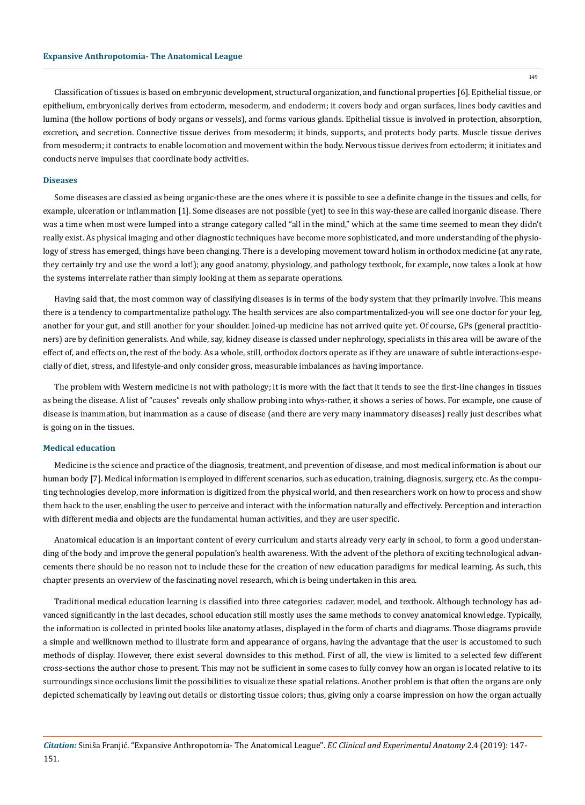149

Classification of tissues is based on embryonic development, structural organization, and functional properties [6]. Epithelial tissue, or epithelium, embryonically derives from ectoderm, mesoderm, and endoderm; it covers body and organ surfaces, lines body cavities and lumina (the hollow portions of body organs or vessels), and forms various glands. Epithelial tissue is involved in protection, absorption, excretion, and secretion. Connective tissue derives from mesoderm; it binds, supports, and protects body parts. Muscle tissue derives from mesoderm; it contracts to enable locomotion and movement within the body. Nervous tissue derives from ectoderm; it initiates and conducts nerve impulses that coordinate body activities.

### **Diseases**

Some diseases are classied as being organic-these are the ones where it is possible to see a definite change in the tissues and cells, for example, ulceration or inflammation [1]. Some diseases are not possible (yet) to see in this way-these are called inorganic disease. There was a time when most were lumped into a strange category called "all in the mind," which at the same time seemed to mean they didn't really exist. As physical imaging and other diagnostic techniques have become more sophisticated, and more understanding of the physiology of stress has emerged, things have been changing. There is a developing movement toward holism in orthodox medicine (at any rate, they certainly try and use the word a lot!); any good anatomy, physiology, and pathology textbook, for example, now takes a look at how the systems interrelate rather than simply looking at them as separate operations.

Having said that, the most common way of classifying diseases is in terms of the body system that they primarily involve. This means there is a tendency to compartmentalize pathology. The health services are also compartmentalized-you will see one doctor for your leg, another for your gut, and still another for your shoulder. Joined-up medicine has not arrived quite yet. Of course, GPs (general practitioners) are by definition generalists. And while, say, kidney disease is classed under nephrology, specialists in this area will be aware of the effect of, and effects on, the rest of the body. As a whole, still, orthodox doctors operate as if they are unaware of subtle interactions-especially of diet, stress, and lifestyle-and only consider gross, measurable imbalances as having importance.

The problem with Western medicine is not with pathology; it is more with the fact that it tends to see the first-line changes in tissues as being the disease. A list of "causes" reveals only shallow probing into whys-rather, it shows a series of hows. For example, one cause of disease is inammation, but inammation as a cause of disease (and there are very many inammatory diseases) really just describes what is going on in the tissues.

### **Medical education**

Medicine is the science and practice of the diagnosis, treatment, and prevention of disease, and most medical information is about our human body [7]. Medical information is employed in different scenarios, such as education, training, diagnosis, surgery, etc. As the computing technologies develop, more information is digitized from the physical world, and then researchers work on how to process and show them back to the user, enabling the user to perceive and interact with the information naturally and effectively. Perception and interaction with different media and objects are the fundamental human activities, and they are user specific.

Anatomical education is an important content of every curriculum and starts already very early in school, to form a good understanding of the body and improve the general population's health awareness. With the advent of the plethora of exciting technological advancements there should be no reason not to include these for the creation of new education paradigms for medical learning. As such, this chapter presents an overview of the fascinating novel research, which is being undertaken in this area.

Traditional medical education learning is classified into three categories: cadaver, model, and textbook. Although technology has advanced significantly in the last decades, school education still mostly uses the same methods to convey anatomical knowledge. Typically, the information is collected in printed books like anatomy atlases, displayed in the form of charts and diagrams. Those diagrams provide a simple and wellknown method to illustrate form and appearance of organs, having the advantage that the user is accustomed to such methods of display. However, there exist several downsides to this method. First of all, the view is limited to a selected few different cross-sections the author chose to present. This may not be sufficient in some cases to fully convey how an organ is located relative to its surroundings since occlusions limit the possibilities to visualize these spatial relations. Another problem is that often the organs are only depicted schematically by leaving out details or distorting tissue colors; thus, giving only a coarse impression on how the organ actually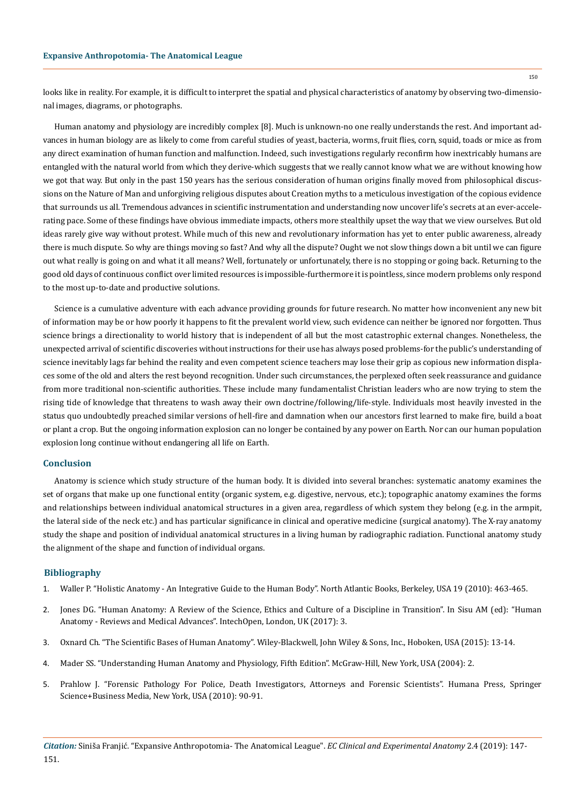looks like in reality. For example, it is difficult to interpret the spatial and physical characteristics of anatomy by observing two-dimensional images, diagrams, or photographs.

Human anatomy and physiology are incredibly complex [8]. Much is unknown-no one really understands the rest. And important advances in human biology are as likely to come from careful studies of yeast, bacteria, worms, fruit flies, corn, squid, toads or mice as from any direct examination of human function and malfunction. Indeed, such investigations regularly reconfirm how inextricably humans are entangled with the natural world from which they derive-which suggests that we really cannot know what we are without knowing how we got that way. But only in the past 150 years has the serious consideration of human origins finally moved from philosophical discussions on the Nature of Man and unforgiving religious disputes about Creation myths to a meticulous investigation of the copious evidence that surrounds us all. Tremendous advances in scientific instrumentation and understanding now uncover life's secrets at an ever-accelerating pace. Some of these findings have obvious immediate impacts, others more stealthily upset the way that we view ourselves. But old ideas rarely give way without protest. While much of this new and revolutionary information has yet to enter public awareness, already there is much dispute. So why are things moving so fast? And why all the dispute? Ought we not slow things down a bit until we can figure out what really is going on and what it all means? Well, fortunately or unfortunately, there is no stopping or going back. Returning to the good old days of continuous conflict over limited resources is impossible-furthermore it is pointless, since modern problems only respond to the most up-to-date and productive solutions.

Science is a cumulative adventure with each advance providing grounds for future research. No matter how inconvenient any new bit of information may be or how poorly it happens to fit the prevalent world view, such evidence can neither be ignored nor forgotten. Thus science brings a directionality to world history that is independent of all but the most catastrophic external changes. Nonetheless, the unexpected arrival of scientific discoveries without instructions for their use has always posed problems-for the public's understanding of science inevitably lags far behind the reality and even competent science teachers may lose their grip as copious new information displaces some of the old and alters the rest beyond recognition. Under such circumstances, the perplexed often seek reassurance and guidance from more traditional non-scientific authorities. These include many fundamentalist Christian leaders who are now trying to stem the rising tide of knowledge that threatens to wash away their own doctrine/following/life-style. Individuals most heavily invested in the status quo undoubtedly preached similar versions of hell-fire and damnation when our ancestors first learned to make fire, build a boat or plant a crop. But the ongoing information explosion can no longer be contained by any power on Earth. Nor can our human population explosion long continue without endangering all life on Earth.

## **Conclusion**

Anatomy is science which study structure of the human body. It is divided into several branches: systematic anatomy examines the set of organs that make up one functional entity (organic system, e.g. digestive, nervous, etc.); topographic anatomy examines the forms and relationships between individual anatomical structures in a given area, regardless of which system they belong (e.g. in the armpit, the lateral side of the neck etc.) and has particular significance in clinical and operative medicine (surgical anatomy). The X-ray anatomy study the shape and position of individual anatomical structures in a living human by radiographic radiation. Functional anatomy study the alignment of the shape and function of individual organs.

## **Bibliography**

- 1. Waller P. "Holistic Anatomy An Integrative Guide to the Human Body". North Atlantic Books, Berkeley, USA 19 (2010): 463-465.
- 2. [Jones DG. "Human Anatomy: A Review of the Science, Ethics and Culture of a Discipline in Transition". In Sisu AM \(ed\): "Human](https://www.intechopen.com/books/human-anatomy-reviews-and-medical-advances/human-anatomy-a-review-of-the-science-ethics-and-culture-of-a-discipline-in-transition)  [Anatomy - Reviews and Medical Advances". IntechOpen, London, UK \(2017\): 3.](https://www.intechopen.com/books/human-anatomy-reviews-and-medical-advances/human-anatomy-a-review-of-the-science-ethics-and-culture-of-a-discipline-in-transition)
- 3. [Oxnard Ch. "The Scientific Bases of Human Anatomy". Wiley-Blackwell, John Wiley & Sons, Inc., Hoboken, USA \(2015\): 13-14.](https://onlinelibrary.wiley.com/doi/book/10.1002/9781118789223)
- 4. Mader SS. "Understanding Human Anatomy and Physiology, Fifth Edition". McGraw-Hill, New York, USA (2004): 2.
- 5. [Prahlow J. "Forensic Pathology For Police, Death Investigators, Attorneys and Forensic Scientists". Humana Press, Springer](https://www.springer.com/gp/book/9781588299758) [Science+Business Media, New York, USA \(2010\): 90-91.](https://www.springer.com/gp/book/9781588299758)

150